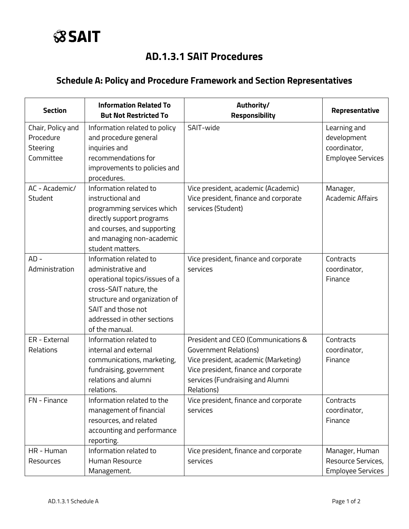## **AD.1.3.1 SAIT Procedures**

## **Schedule A: Policy and Procedure Framework and Section Representatives**

| <b>Section</b>                                          | <b>Information Related To</b><br><b>But Not Restricted To</b>                                                                                                                                                    | Authority/<br>Responsibility                                                                                                                                                                           | Representative                                                          |
|---------------------------------------------------------|------------------------------------------------------------------------------------------------------------------------------------------------------------------------------------------------------------------|--------------------------------------------------------------------------------------------------------------------------------------------------------------------------------------------------------|-------------------------------------------------------------------------|
| Chair, Policy and<br>Procedure<br>Steering<br>Committee | Information related to policy<br>and procedure general<br>inquiries and<br>recommendations for<br>improvements to policies and<br>procedures.                                                                    | SAIT-wide                                                                                                                                                                                              | Learning and<br>development<br>coordinator,<br><b>Employee Services</b> |
| AC - Academic/<br>Student                               | Information related to<br>instructional and<br>programming services which<br>directly support programs<br>and courses, and supporting<br>and managing non-academic<br>student matters.                           | Vice president, academic (Academic)<br>Vice president, finance and corporate<br>services (Student)                                                                                                     | Manager,<br><b>Academic Affairs</b>                                     |
| $AD -$<br>Administration                                | Information related to<br>administrative and<br>operational topics/issues of a<br>cross-SAIT nature, the<br>structure and organization of<br>SAIT and those not<br>addressed in other sections<br>of the manual. | Vice president, finance and corporate<br>services                                                                                                                                                      | Contracts<br>coordinator,<br>Finance                                    |
| ER - External<br>Relations                              | Information related to<br>internal and external<br>communications, marketing,<br>fundraising, government<br>relations and alumni<br>relations.                                                                   | President and CEO (Communications &<br><b>Government Relations)</b><br>Vice president, academic (Marketing)<br>Vice president, finance and corporate<br>services (Fundraising and Alumni<br>Relations) | Contracts<br>coordinator,<br>Finance                                    |
| FN - Finance                                            | Information related to the<br>management of financial<br>resources, and related<br>accounting and performance<br>reporting.                                                                                      | Vice president, finance and corporate<br>services                                                                                                                                                      | Contracts<br>coordinator,<br>Finance                                    |
| HR - Human<br>Resources                                 | Information related to<br>Human Resource<br>Management.                                                                                                                                                          | Vice president, finance and corporate<br>services                                                                                                                                                      | Manager, Human<br>Resource Services,<br><b>Employee Services</b>        |